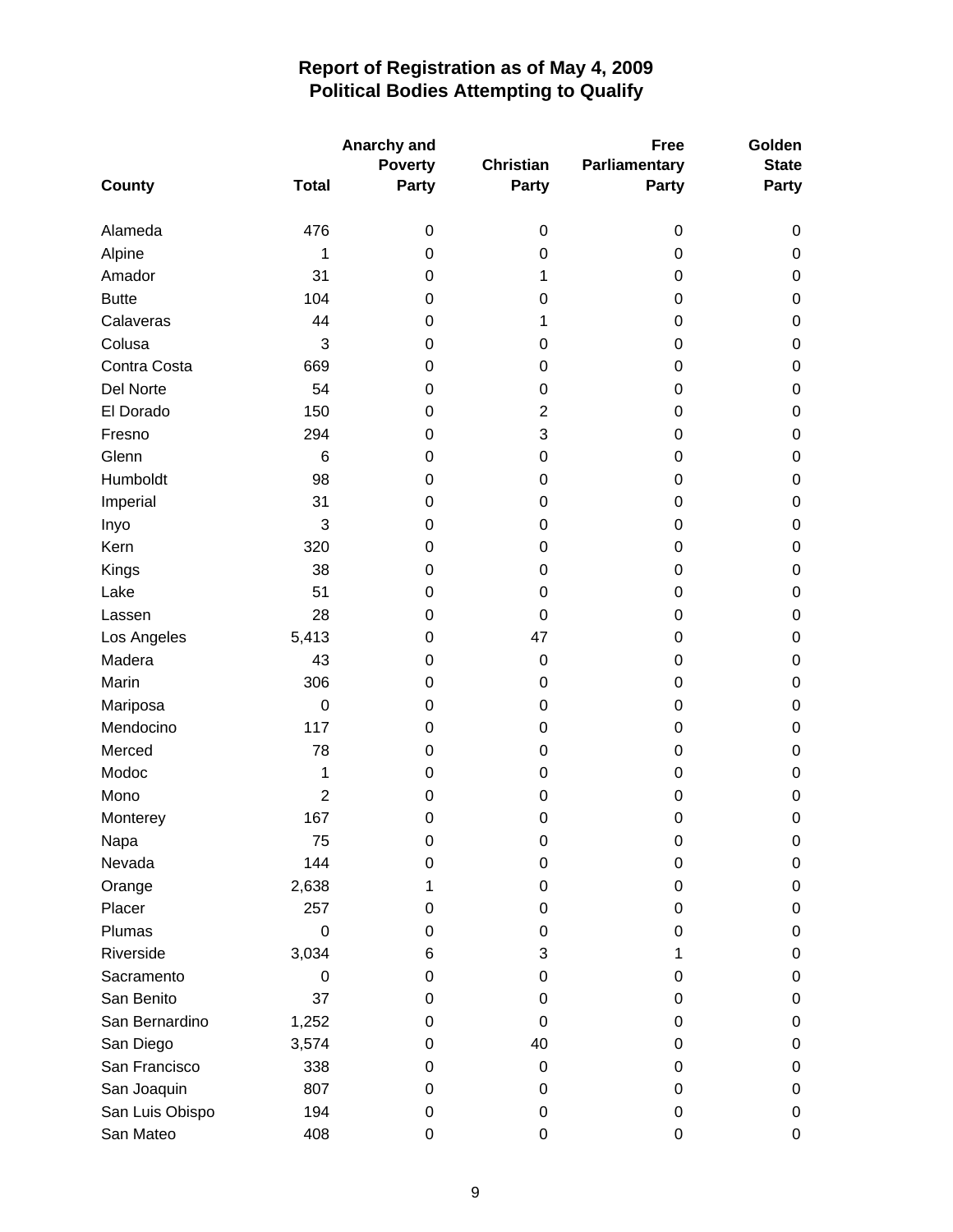|                 |                | Anarchy and    |           | Golden        |                  |
|-----------------|----------------|----------------|-----------|---------------|------------------|
|                 |                | <b>Poverty</b> |           | Parliamentary | <b>State</b>     |
| County          | <b>Total</b>   | <b>Party</b>   | Party     | <b>Party</b>  | Party            |
| Alameda         | 476            | $\pmb{0}$      | 0         | 0             | 0                |
| Alpine          | 1              | 0              | 0         | 0             | $\pmb{0}$        |
| Amador          | 31             | 0              | 1         | 0             | $\boldsymbol{0}$ |
| <b>Butte</b>    | 104            | 0              | 0         | 0             | $\boldsymbol{0}$ |
| Calaveras       | 44             | 0              | 1         | 0             | $\pmb{0}$        |
| Colusa          | 3              | 0              | 0         | 0             | $\pmb{0}$        |
| Contra Costa    | 669            | 0              | 0         | 0             | $\mathbf 0$      |
| Del Norte       | 54             | 0              | 0         | 0             | $\boldsymbol{0}$ |
| El Dorado       | 150            | 0              | 2         | 0             | $\boldsymbol{0}$ |
| Fresno          | 294            | 0              | 3         | 0             | $\pmb{0}$        |
| Glenn           | 6              | 0              | 0         | 0             | $\boldsymbol{0}$ |
| Humboldt        | 98             | 0              | 0         | 0             | $\boldsymbol{0}$ |
| Imperial        | 31             | 0              | 0         | 0             | $\pmb{0}$        |
| Inyo            | 3              | 0              | 0         | 0             | $\boldsymbol{0}$ |
| Kern            | 320            | 0              | 0         | 0             | $\boldsymbol{0}$ |
| Kings           | 38             | 0              | 0         | 0             | $\pmb{0}$        |
| Lake            | 51             | 0              | 0         | 0             | $\boldsymbol{0}$ |
| Lassen          | 28             | 0              | 0         | 0             | $\boldsymbol{0}$ |
| Los Angeles     | 5,413          | 0              | 47        | 0             | $\boldsymbol{0}$ |
| Madera          | 43             | 0              | $\pmb{0}$ | 0             | $\mathbf 0$      |
| Marin           | 306            | 0              | 0         | 0             | $\mathbf 0$      |
| Mariposa        | $\mathbf 0$    | 0              | 0         | 0             | $\mathbf 0$      |
| Mendocino       | 117            | 0              | 0         | 0             | $\boldsymbol{0}$ |
| Merced          | 78             | 0              | 0         | 0             | $\boldsymbol{0}$ |
| Modoc           | 1              | 0              | 0         | 0             | $\boldsymbol{0}$ |
| Mono            | $\overline{2}$ | 0              | 0         | 0             | $\boldsymbol{0}$ |
| Monterey        | 167            | 0              | 0         | 0             | $\mathbf 0$      |
| Napa            | 75             | 0              | 0         | 0             | 0                |
| Nevada          | 144            | 0              | 0         | 0             | 0                |
| Orange          | 2,638          | 1              | 0         | 0             | $\pmb{0}$        |
| Placer          | 257            | 0              | 0         | 0             | $\pmb{0}$        |
| Plumas          | 0              | 0              | 0         | 0             | $\pmb{0}$        |
| Riverside       | 3,034          | 6              | 3         | 1             | $\pmb{0}$        |
| Sacramento      | 0              | 0              | 0         | 0             | 0                |
| San Benito      | 37             | 0              | 0         | 0             | $\pmb{0}$        |
| San Bernardino  | 1,252          | 0              | 0         | 0             | $\pmb{0}$        |
| San Diego       | 3,574          | 0              | 40        | 0             | $\pmb{0}$        |
| San Francisco   | 338            | 0              | 0         | 0             | $\pmb{0}$        |
| San Joaquin     | 807            | 0              | 0         | 0             | 0                |
| San Luis Obispo | 194            | 0              | 0         | 0             | $\pmb{0}$        |
| San Mateo       | 408            | 0              | 0         | 0             | $\pmb{0}$        |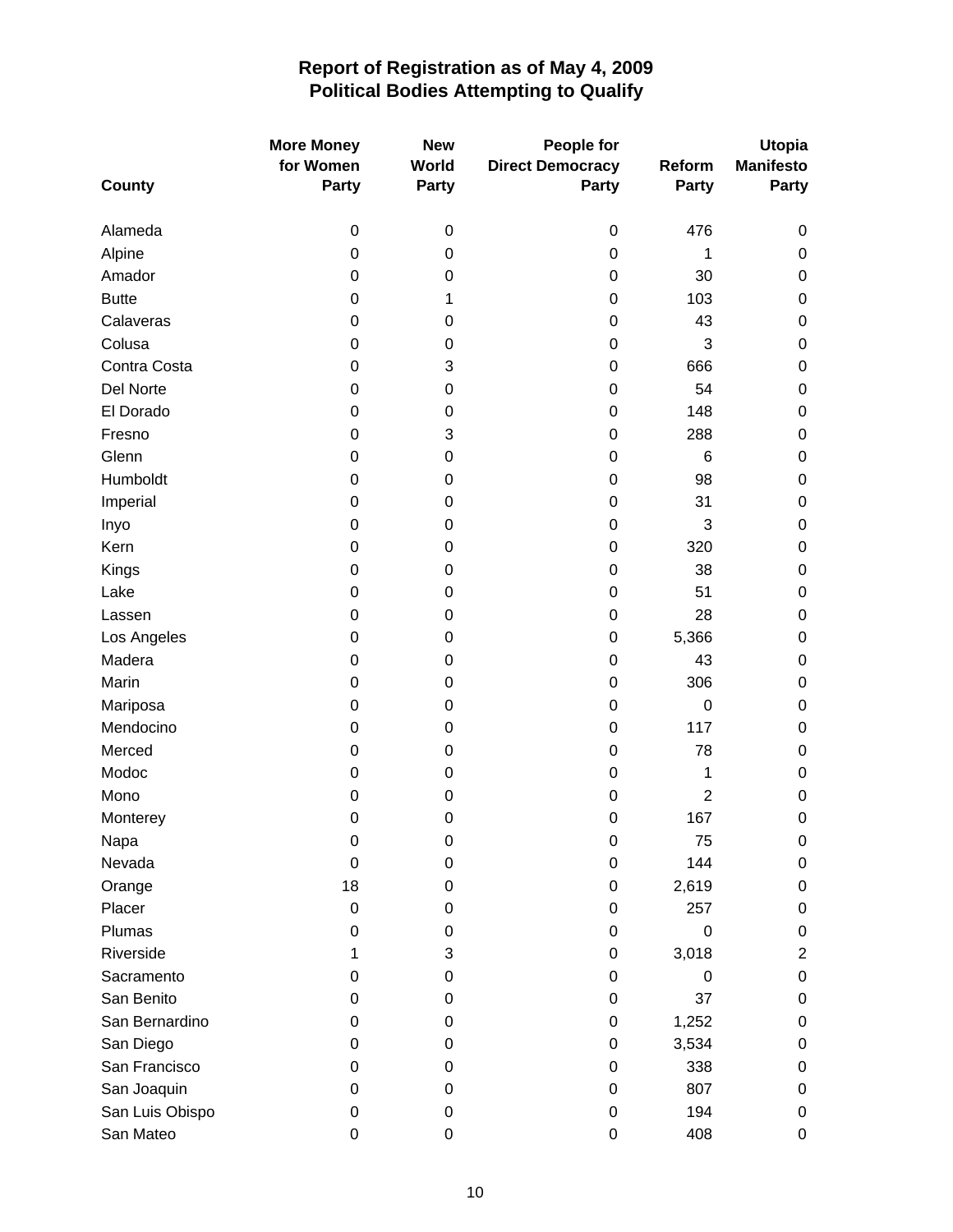| <b>More Money</b> |              | <b>New</b>       | People for              |                | <b>Utopia</b>    |
|-------------------|--------------|------------------|-------------------------|----------------|------------------|
|                   | for Women    | <b>World</b>     | <b>Direct Democracy</b> | Reform         | <b>Manifesto</b> |
| County            | <b>Party</b> | <b>Party</b>     | <b>Party</b>            | <b>Party</b>   | <b>Party</b>     |
| Alameda           | 0            | $\boldsymbol{0}$ | $\pmb{0}$               | 476            | 0                |
| Alpine            | 0            | 0                | 0                       | 1              | 0                |
| Amador            | 0            | 0                | 0                       | 30             | 0                |
| <b>Butte</b>      | 0            | 1                | 0                       | 103            | 0                |
| Calaveras         | 0            | 0                | 0                       | 43             | 0                |
| Colusa            | 0            | 0                | 0                       | 3              | 0                |
| Contra Costa      | 0            | 3                | 0                       | 666            | 0                |
| Del Norte         | 0            | 0                | 0                       | 54             | 0                |
| El Dorado         | 0            | 0                | $\mathbf 0$             | 148            | 0                |
| Fresno            | 0            | 3                | 0                       | 288            | 0                |
| Glenn             | 0            | 0                | 0                       | 6              | 0                |
| Humboldt          | 0            | 0                | 0                       | 98             | 0                |
| Imperial          | 0            | 0                | 0                       | 31             | 0                |
| Inyo              | 0            | 0                | $\mathbf 0$             | 3              | 0                |
| Kern              | 0            | 0                | 0                       | 320            | 0                |
| Kings             | 0            | $\mathbf 0$      | 0                       | 38             | 0                |
| Lake              | 0            | 0                | 0                       | 51             | 0                |
| Lassen            | 0            | 0                | 0                       | 28             | 0                |
| Los Angeles       | 0            | $\boldsymbol{0}$ | $\pmb{0}$               | 5,366          | 0                |
| Madera            | 0            | 0                | 0                       | 43             | 0                |
| Marin             | 0            | 0                | $\boldsymbol{0}$        | 306            | 0                |
| Mariposa          | 0            | 0                | 0                       | $\mathbf 0$    | 0                |
| Mendocino         | 0            | 0                | 0                       | 117            | 0                |
| Merced            | 0            | 0                | 0                       | 78             | 0                |
| Modoc             | 0            | $\mathbf 0$      | 0                       | 1              | 0                |
| Mono              | 0            | 0                | $\mathbf 0$             | $\overline{2}$ | 0                |
| Monterey          | 0            | $\mathbf 0$      | 0                       | 167            | $\mathbf 0$      |
| Napa              | 0            | 0                | 0                       | 75             | 0                |
| Nevada            | 0            | $\mathbf 0$      | 0                       | 144            | 0                |
| Orange            | 18           | 0                | 0                       | 2,619          | 0                |
| Placer            | 0            | 0                | 0                       | 257            | 0                |
| Plumas            | 0            | 0                | 0                       | $\mathbf 0$    | 0                |
| Riverside         | 1            | 3                | 0                       | 3,018          | $\overline{c}$   |
| Sacramento        | 0            | 0                | 0                       | 0              | 0                |
| San Benito        | 0            | 0                | 0                       | 37             | 0                |
| San Bernardino    | 0            | 0                | 0                       | 1,252          | 0                |
| San Diego         | 0            | 0                | 0                       | 3,534          | 0                |
| San Francisco     | 0            | 0                | 0                       | 338            | 0                |
| San Joaquin       | 0            | 0                | 0                       | 807            | 0                |
| San Luis Obispo   | 0            | $\mathbf 0$      | 0                       | 194            | 0                |
| San Mateo         | 0            | 0                | 0                       | 408            | 0                |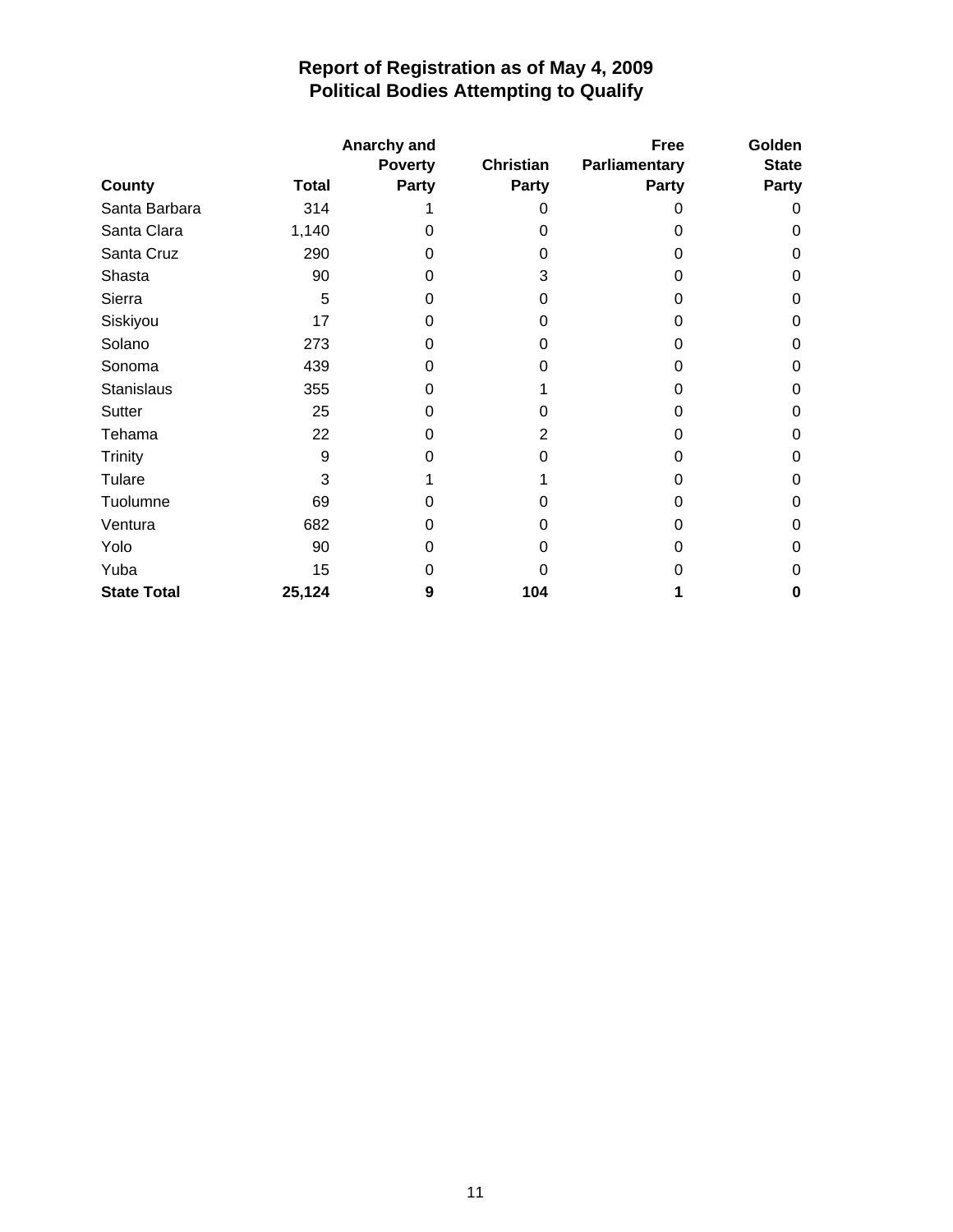|                    | Anarchy and  |                |              | <b>Free</b>   | Golden       |
|--------------------|--------------|----------------|--------------|---------------|--------------|
|                    |              | <b>Poverty</b> | Christian    | Parliamentary | <b>State</b> |
| County             | <b>Total</b> | <b>Party</b>   | <b>Party</b> | <b>Party</b>  | Party        |
| Santa Barbara      | 314          |                |              |               | 0            |
| Santa Clara        | 1,140        | 0              | 0            | Ω             | 0            |
| Santa Cruz         | 290          | 0              | 0            | 0             | 0            |
| Shasta             | 90           | 0              | 3            | 0             | 0            |
| Sierra             | 5            | 0              | 0            | 0             | 0            |
| Siskiyou           | 17           | 0              | O            | 0             | 0            |
| Solano             | 273          | Ω              | O            | O             | 0            |
| Sonoma             | 439          | 0              | 0            | 0             | 0            |
| <b>Stanislaus</b>  | 355          | Ω              |              | O             | 0            |
| Sutter             | 25           | O              | O            | 0             | 0            |
| Tehama             | 22           | 0              | 2            | 0             | 0            |
| <b>Trinity</b>     | 9            | Ω              | O            | 0             | 0            |
| Tulare             | 3            |                |              | 0             | 0            |
| Tuolumne           | 69           | Ω              |              | 0             | 0            |
| Ventura            | 682          | 0              | 0            | 0             | 0            |
| Yolo               | 90           | 0              | 0            | O             | 0            |
| Yuba               | 15           | Ω              |              | O             | 0            |
| <b>State Total</b> | 25,124       | 9              | 104          |               | 0            |